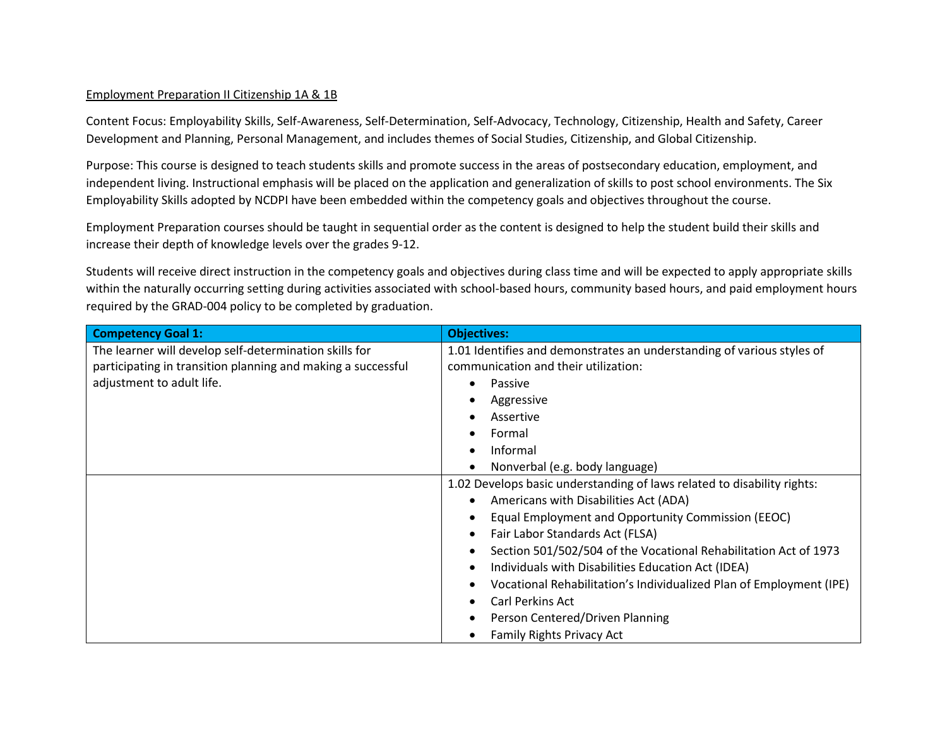### Employment Preparation II Citizenship 1A & 1B

Content Focus: Employability Skills, Self-Awareness, Self-Determination, Self-Advocacy, Technology, Citizenship, Health and Safety, Career Development and Planning, Personal Management, and includes themes of Social Studies, Citizenship, and Global Citizenship.

Purpose: This course is designed to teach students skills and promote success in the areas of postsecondary education, employment, and independent living. Instructional emphasis will be placed on the application and generalization of skills to post school environments. The Six Employability Skills adopted by NCDPI have been embedded within the competency goals and objectives throughout the course.

Employment Preparation courses should be taught in sequential order as the content is designed to help the student build their skills and increase their depth of knowledge levels over the grades 9-12.

Students will receive direct instruction in the competency goals and objectives during class time and will be expected to apply appropriate skills within the naturally occurring setting during activities associated with school-based hours, community based hours, and paid employment hours required by the GRAD-004 policy to be completed by graduation.

| <b>Competency Goal 1:</b>                                    | <b>Objectives:</b>                                                                                               |  |  |
|--------------------------------------------------------------|------------------------------------------------------------------------------------------------------------------|--|--|
| The learner will develop self-determination skills for       | 1.01 Identifies and demonstrates an understanding of various styles of                                           |  |  |
| participating in transition planning and making a successful | communication and their utilization:                                                                             |  |  |
| adjustment to adult life.                                    | Passive                                                                                                          |  |  |
|                                                              | Aggressive                                                                                                       |  |  |
|                                                              | Assertive                                                                                                        |  |  |
|                                                              | Formal                                                                                                           |  |  |
|                                                              | Informal                                                                                                         |  |  |
|                                                              | Nonverbal (e.g. body language)                                                                                   |  |  |
|                                                              | 1.02 Develops basic understanding of laws related to disability rights:<br>Americans with Disabilities Act (ADA) |  |  |
|                                                              |                                                                                                                  |  |  |
|                                                              | Equal Employment and Opportunity Commission (EEOC)                                                               |  |  |
|                                                              | Fair Labor Standards Act (FLSA)                                                                                  |  |  |
|                                                              | Section 501/502/504 of the Vocational Rehabilitation Act of 1973                                                 |  |  |
|                                                              | Individuals with Disabilities Education Act (IDEA)                                                               |  |  |
|                                                              | Vocational Rehabilitation's Individualized Plan of Employment (IPE)                                              |  |  |
|                                                              | <b>Carl Perkins Act</b>                                                                                          |  |  |
|                                                              | Person Centered/Driven Planning                                                                                  |  |  |
|                                                              | <b>Family Rights Privacy Act</b>                                                                                 |  |  |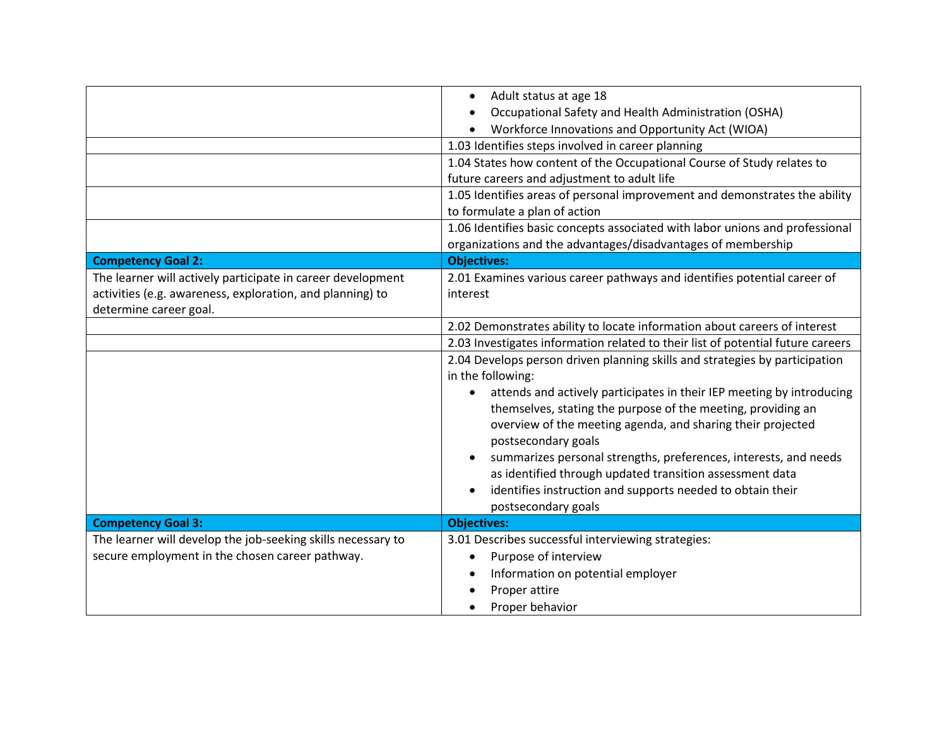|                                                                                                                                                    | Adult status at age 18<br>$\bullet$<br>Occupational Safety and Health Administration (OSHA)<br>Workforce Innovations and Opportunity Act (WIOA)<br>1.03 Identifies steps involved in career planning<br>1.04 States how content of the Occupational Course of Study relates to<br>future careers and adjustment to adult life<br>1.05 Identifies areas of personal improvement and demonstrates the ability<br>to formulate a plan of action                                                                                                         |  |  |
|----------------------------------------------------------------------------------------------------------------------------------------------------|------------------------------------------------------------------------------------------------------------------------------------------------------------------------------------------------------------------------------------------------------------------------------------------------------------------------------------------------------------------------------------------------------------------------------------------------------------------------------------------------------------------------------------------------------|--|--|
|                                                                                                                                                    | 1.06 Identifies basic concepts associated with labor unions and professional<br>organizations and the advantages/disadvantages of membership                                                                                                                                                                                                                                                                                                                                                                                                         |  |  |
| <b>Competency Goal 2:</b>                                                                                                                          | <b>Objectives:</b>                                                                                                                                                                                                                                                                                                                                                                                                                                                                                                                                   |  |  |
| The learner will actively participate in career development<br>activities (e.g. awareness, exploration, and planning) to<br>determine career goal. | 2.01 Examines various career pathways and identifies potential career of<br>interest                                                                                                                                                                                                                                                                                                                                                                                                                                                                 |  |  |
|                                                                                                                                                    | 2.02 Demonstrates ability to locate information about careers of interest                                                                                                                                                                                                                                                                                                                                                                                                                                                                            |  |  |
|                                                                                                                                                    | 2.03 Investigates information related to their list of potential future careers                                                                                                                                                                                                                                                                                                                                                                                                                                                                      |  |  |
|                                                                                                                                                    | 2.04 Develops person driven planning skills and strategies by participation<br>in the following:<br>attends and actively participates in their IEP meeting by introducing<br>themselves, stating the purpose of the meeting, providing an<br>overview of the meeting agenda, and sharing their projected<br>postsecondary goals<br>summarizes personal strengths, preferences, interests, and needs<br>as identified through updated transition assessment data<br>identifies instruction and supports needed to obtain their<br>postsecondary goals |  |  |
| <b>Competency Goal 3:</b>                                                                                                                          | <b>Objectives:</b>                                                                                                                                                                                                                                                                                                                                                                                                                                                                                                                                   |  |  |
| The learner will develop the job-seeking skills necessary to<br>secure employment in the chosen career pathway.                                    | 3.01 Describes successful interviewing strategies:<br>Purpose of interview<br>Information on potential employer<br>Proper attire<br>Proper behavior                                                                                                                                                                                                                                                                                                                                                                                                  |  |  |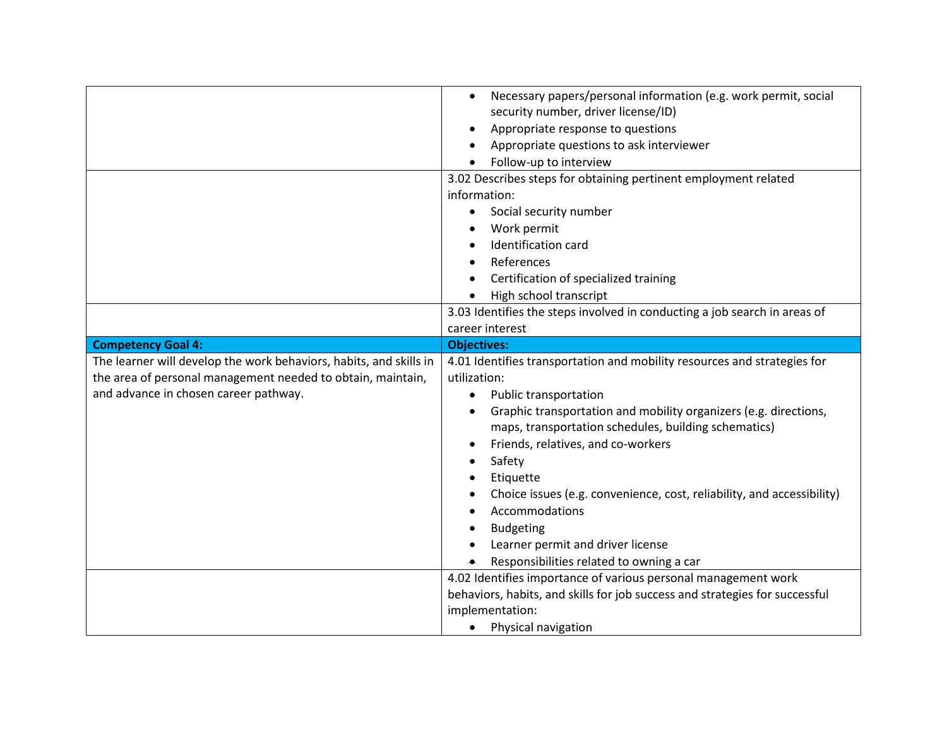|                                                                    | Necessary papers/personal information (e.g. work permit, social<br>$\bullet$                   |  |  |
|--------------------------------------------------------------------|------------------------------------------------------------------------------------------------|--|--|
|                                                                    | security number, driver license/ID)<br>Appropriate response to questions                       |  |  |
|                                                                    |                                                                                                |  |  |
|                                                                    | Appropriate questions to ask interviewer                                                       |  |  |
|                                                                    | Follow-up to interview                                                                         |  |  |
|                                                                    | 3.02 Describes steps for obtaining pertinent employment related                                |  |  |
|                                                                    | information:<br>Social security number                                                         |  |  |
|                                                                    |                                                                                                |  |  |
|                                                                    | Work permit                                                                                    |  |  |
|                                                                    | Identification card                                                                            |  |  |
|                                                                    | References                                                                                     |  |  |
|                                                                    | Certification of specialized training                                                          |  |  |
|                                                                    | High school transcript                                                                         |  |  |
|                                                                    | 3.03 Identifies the steps involved in conducting a job search in areas of<br>career interest   |  |  |
|                                                                    |                                                                                                |  |  |
| <b>Competency Goal 4:</b>                                          | <b>Objectives:</b>                                                                             |  |  |
| The learner will develop the work behaviors, habits, and skills in | 4.01 Identifies transportation and mobility resources and strategies for                       |  |  |
|                                                                    |                                                                                                |  |  |
| the area of personal management needed to obtain, maintain,        | utilization:                                                                                   |  |  |
| and advance in chosen career pathway.                              | Public transportation                                                                          |  |  |
|                                                                    | Graphic transportation and mobility organizers (e.g. directions,                               |  |  |
|                                                                    | maps, transportation schedules, building schematics)                                           |  |  |
|                                                                    |                                                                                                |  |  |
|                                                                    | Friends, relatives, and co-workers<br>Safety                                                   |  |  |
|                                                                    | Etiquette                                                                                      |  |  |
|                                                                    |                                                                                                |  |  |
|                                                                    | Choice issues (e.g. convenience, cost, reliability, and accessibility)<br>Accommodations       |  |  |
|                                                                    |                                                                                                |  |  |
|                                                                    | <b>Budgeting</b>                                                                               |  |  |
|                                                                    | Learner permit and driver license                                                              |  |  |
|                                                                    | Responsibilities related to owning a car                                                       |  |  |
|                                                                    | 4.02 Identifies importance of various personal management work                                 |  |  |
|                                                                    | behaviors, habits, and skills for job success and strategies for successful<br>implementation: |  |  |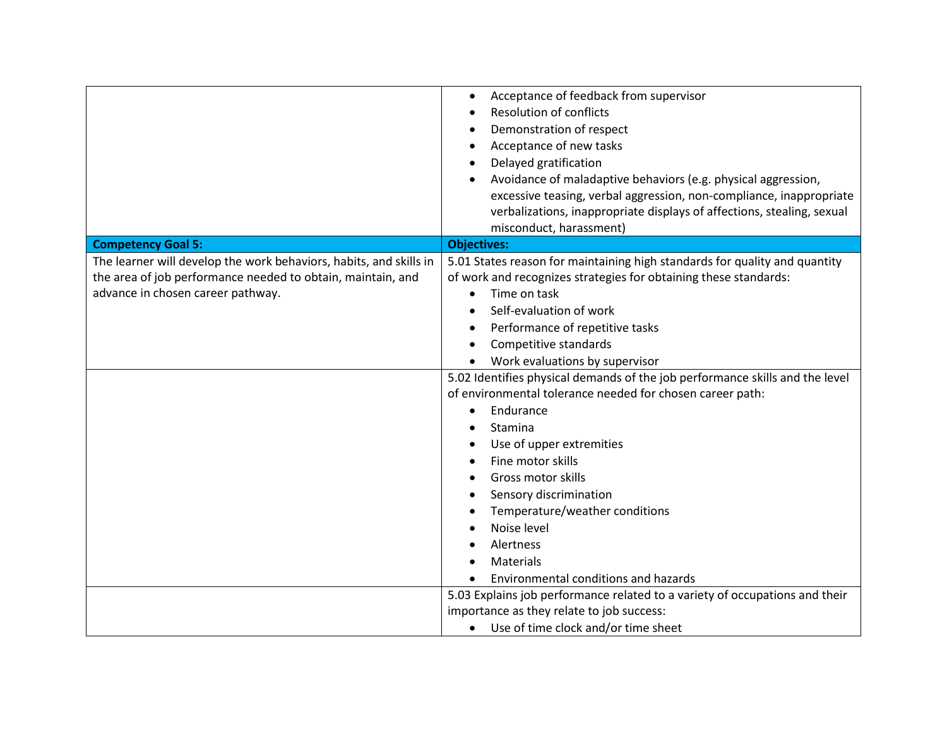|                                                                                                                                                                        | Acceptance of feedback from supervisor<br><b>Resolution of conflicts</b><br>Demonstration of respect<br>Acceptance of new tasks<br>Delayed gratification<br>Avoidance of maladaptive behaviors (e.g. physical aggression,<br>excessive teasing, verbal aggression, non-compliance, inappropriate                                                                                             |  |  |
|------------------------------------------------------------------------------------------------------------------------------------------------------------------------|----------------------------------------------------------------------------------------------------------------------------------------------------------------------------------------------------------------------------------------------------------------------------------------------------------------------------------------------------------------------------------------------|--|--|
|                                                                                                                                                                        | verbalizations, inappropriate displays of affections, stealing, sexual<br>misconduct, harassment)                                                                                                                                                                                                                                                                                            |  |  |
| <b>Competency Goal 5:</b>                                                                                                                                              | <b>Objectives:</b>                                                                                                                                                                                                                                                                                                                                                                           |  |  |
| The learner will develop the work behaviors, habits, and skills in<br>the area of job performance needed to obtain, maintain, and<br>advance in chosen career pathway. | 5.01 States reason for maintaining high standards for quality and quantity<br>of work and recognizes strategies for obtaining these standards:<br>Time on task<br>$\bullet$<br>Self-evaluation of work<br>Performance of repetitive tasks<br>Competitive standards                                                                                                                           |  |  |
|                                                                                                                                                                        | Work evaluations by supervisor                                                                                                                                                                                                                                                                                                                                                               |  |  |
|                                                                                                                                                                        | 5.02 Identifies physical demands of the job performance skills and the level<br>of environmental tolerance needed for chosen career path:<br>Endurance<br>Stamina<br>Use of upper extremities<br>Fine motor skills<br>Gross motor skills<br>Sensory discrimination<br>Temperature/weather conditions<br>Noise level<br>Alertness<br><b>Materials</b><br>Environmental conditions and hazards |  |  |
|                                                                                                                                                                        | 5.03 Explains job performance related to a variety of occupations and their<br>importance as they relate to job success:<br>• Use of time clock and/or time sheet                                                                                                                                                                                                                            |  |  |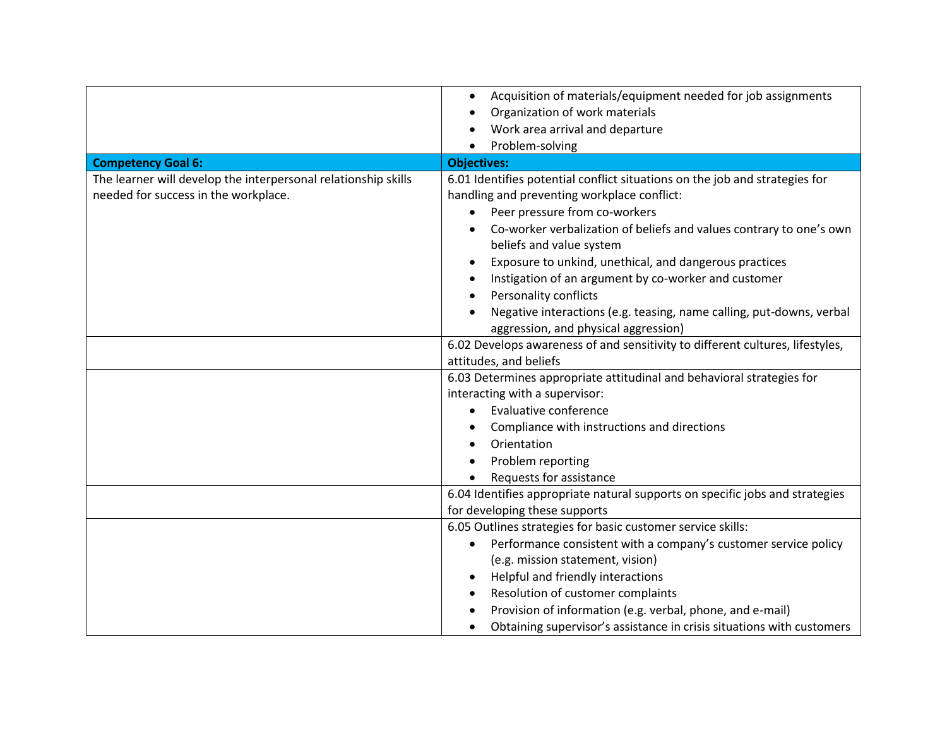|                                                                                                        | Acquisition of materials/equipment needed for job assignments<br>$\bullet$<br>Organization of work materials<br>Work area arrival and departure                                                                                                                                                                                                                                                                                                                                                                                                                                                            |  |
|--------------------------------------------------------------------------------------------------------|------------------------------------------------------------------------------------------------------------------------------------------------------------------------------------------------------------------------------------------------------------------------------------------------------------------------------------------------------------------------------------------------------------------------------------------------------------------------------------------------------------------------------------------------------------------------------------------------------------|--|
| <b>Competency Goal 6:</b>                                                                              | Problem-solving<br><b>Objectives:</b>                                                                                                                                                                                                                                                                                                                                                                                                                                                                                                                                                                      |  |
| The learner will develop the interpersonal relationship skills<br>needed for success in the workplace. | 6.01 Identifies potential conflict situations on the job and strategies for<br>handling and preventing workplace conflict:<br>Peer pressure from co-workers<br>Co-worker verbalization of beliefs and values contrary to one's own<br>beliefs and value system<br>Exposure to unkind, unethical, and dangerous practices<br>Instigation of an argument by co-worker and customer<br>Personality conflicts<br>Negative interactions (e.g. teasing, name calling, put-downs, verbal<br>aggression, and physical aggression)<br>6.02 Develops awareness of and sensitivity to different cultures, lifestyles, |  |
|                                                                                                        | attitudes, and beliefs<br>6.03 Determines appropriate attitudinal and behavioral strategies for                                                                                                                                                                                                                                                                                                                                                                                                                                                                                                            |  |
|                                                                                                        | interacting with a supervisor:<br><b>Evaluative conference</b><br>Compliance with instructions and directions<br>Orientation<br>Problem reporting<br>Requests for assistance                                                                                                                                                                                                                                                                                                                                                                                                                               |  |
|                                                                                                        | 6.04 Identifies appropriate natural supports on specific jobs and strategies                                                                                                                                                                                                                                                                                                                                                                                                                                                                                                                               |  |
|                                                                                                        | for developing these supports                                                                                                                                                                                                                                                                                                                                                                                                                                                                                                                                                                              |  |
|                                                                                                        | 6.05 Outlines strategies for basic customer service skills:<br>Performance consistent with a company's customer service policy<br>(e.g. mission statement, vision)<br>Helpful and friendly interactions<br>Resolution of customer complaints<br>Provision of information (e.g. verbal, phone, and e-mail)<br>Obtaining supervisor's assistance in crisis situations with customers                                                                                                                                                                                                                         |  |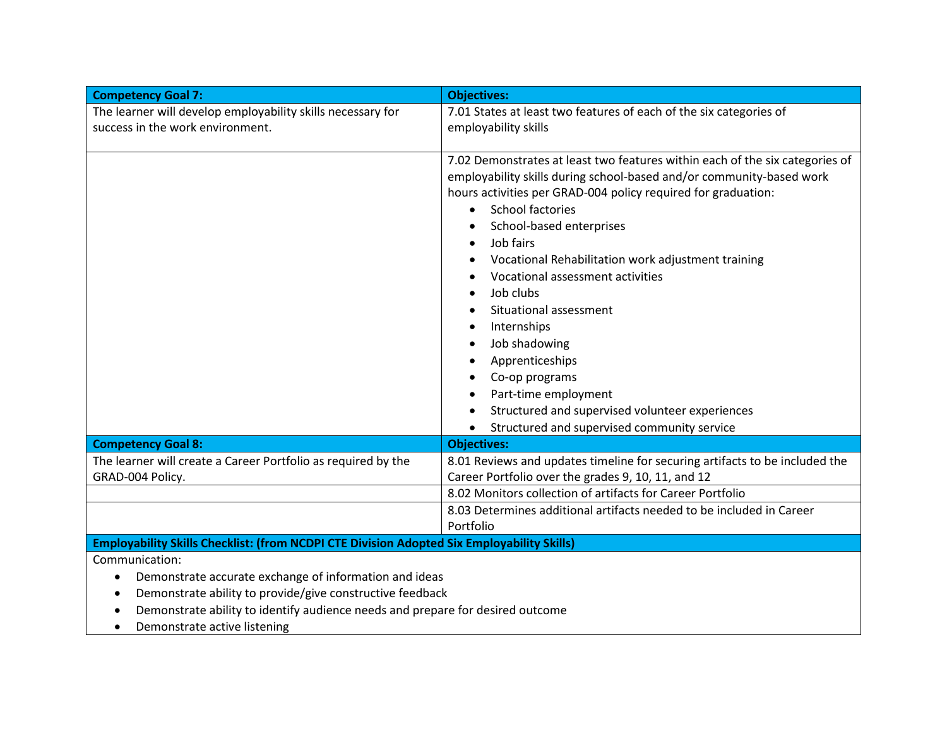| <b>Competency Goal 7:</b>                                                                  | <b>Objectives:</b>                                                                                               |  |  |
|--------------------------------------------------------------------------------------------|------------------------------------------------------------------------------------------------------------------|--|--|
| The learner will develop employability skills necessary for                                | 7.01 States at least two features of each of the six categories of                                               |  |  |
| success in the work environment.                                                           | employability skills                                                                                             |  |  |
|                                                                                            |                                                                                                                  |  |  |
|                                                                                            | 7.02 Demonstrates at least two features within each of the six categories of                                     |  |  |
|                                                                                            | employability skills during school-based and/or community-based work                                             |  |  |
|                                                                                            | hours activities per GRAD-004 policy required for graduation:                                                    |  |  |
|                                                                                            | <b>School factories</b><br>$\bullet$                                                                             |  |  |
|                                                                                            | School-based enterprises                                                                                         |  |  |
|                                                                                            | Job fairs                                                                                                        |  |  |
|                                                                                            | Vocational Rehabilitation work adjustment training                                                               |  |  |
|                                                                                            | Vocational assessment activities                                                                                 |  |  |
|                                                                                            | Job clubs                                                                                                        |  |  |
|                                                                                            | Situational assessment                                                                                           |  |  |
|                                                                                            | Internships                                                                                                      |  |  |
|                                                                                            | Job shadowing                                                                                                    |  |  |
|                                                                                            | Apprenticeships                                                                                                  |  |  |
|                                                                                            | Co-op programs                                                                                                   |  |  |
|                                                                                            | Part-time employment                                                                                             |  |  |
|                                                                                            | Structured and supervised volunteer experiences                                                                  |  |  |
|                                                                                            | Structured and supervised community service<br>$\bullet$                                                         |  |  |
| <b>Competency Goal 8:</b>                                                                  | <b>Objectives:</b>                                                                                               |  |  |
| The learner will create a Career Portfolio as required by the<br>GRAD-004 Policy.          | 8.01 Reviews and updates timeline for securing artifacts to be included the                                      |  |  |
|                                                                                            | Career Portfolio over the grades 9, 10, 11, and 12<br>8.02 Monitors collection of artifacts for Career Portfolio |  |  |
|                                                                                            | 8.03 Determines additional artifacts needed to be included in Career                                             |  |  |
|                                                                                            | Portfolio                                                                                                        |  |  |
| Employability Skills Checklist: (from NCDPI CTE Division Adopted Six Employability Skills) |                                                                                                                  |  |  |
| Communication:                                                                             |                                                                                                                  |  |  |
| Demonstrate accurate exchange of information and ideas                                     |                                                                                                                  |  |  |
| Demonstrate ability to provide/give constructive feedback                                  |                                                                                                                  |  |  |
| Demonstrate ability to identify audience needs and prepare for desired outcome             |                                                                                                                  |  |  |
| Demonstrate active listening<br>$\bullet$                                                  |                                                                                                                  |  |  |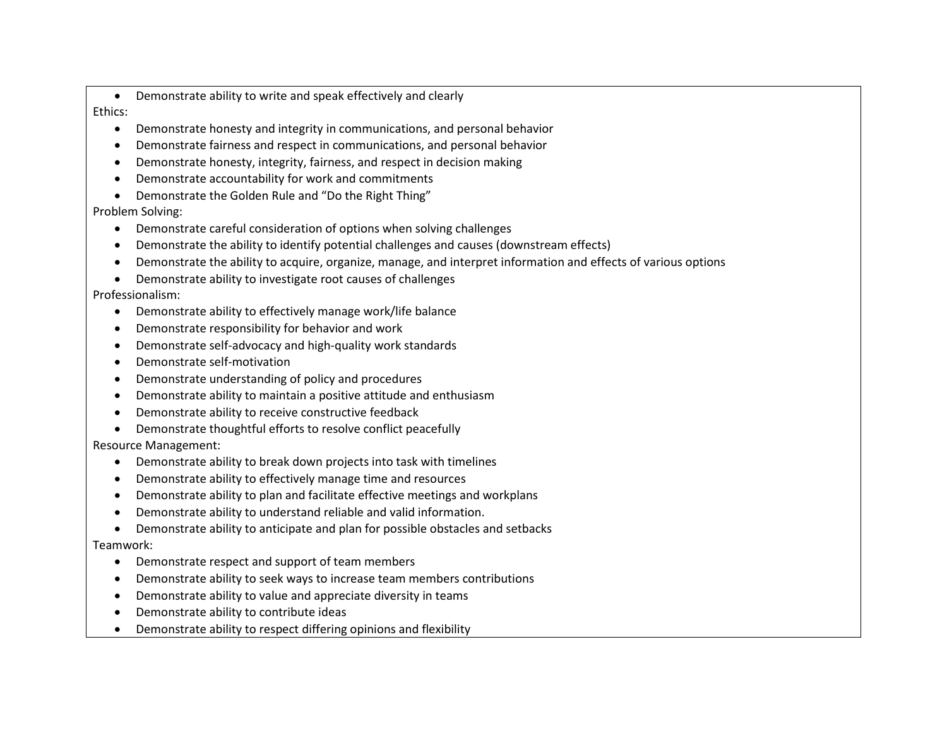- Demonstrate ability to write and speak effectively and clearly Ethics:
	- Demonstrate honesty and integrity in communications, and personal behavior
	- Demonstrate fairness and respect in communications, and personal behavior
	- Demonstrate honesty, integrity, fairness, and respect in decision making
	- Demonstrate accountability for work and commitments
	- Demonstrate the Golden Rule and "Do the Right Thing"

# Problem Solving:

- Demonstrate careful consideration of options when solving challenges
- Demonstrate the ability to identify potential challenges and causes (downstream effects)
- Demonstrate the ability to acquire, organize, manage, and interpret information and effects of various options
- Demonstrate ability to investigate root causes of challenges

## Professionalism:

- Demonstrate ability to effectively manage work/life balance
- Demonstrate responsibility for behavior and work
- Demonstrate self-advocacy and high-quality work standards
- Demonstrate self-motivation
- Demonstrate understanding of policy and procedures
- Demonstrate ability to maintain a positive attitude and enthusiasm
- Demonstrate ability to receive constructive feedback
- Demonstrate thoughtful efforts to resolve conflict peacefully

# Resource Management:

- Demonstrate ability to break down projects into task with timelines
- Demonstrate ability to effectively manage time and resources
- Demonstrate ability to plan and facilitate effective meetings and workplans
- Demonstrate ability to understand reliable and valid information.
- Demonstrate ability to anticipate and plan for possible obstacles and setbacks Teamwork:
	- Demonstrate respect and support of team members
	- Demonstrate ability to seek ways to increase team members contributions
	- Demonstrate ability to value and appreciate diversity in teams
	- Demonstrate ability to contribute ideas
	- Demonstrate ability to respect differing opinions and flexibility